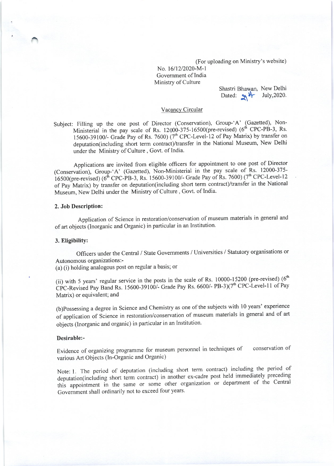(For uploading on Ministry's website)

No. 16/12/2020-M-1 Government of India Ministry of Culture

Shastri Bhawan, New Delhi Dated:  $\frac{1}{2}$   $\frac{1}{2}$  July, 2020.

### Vacancy Circular

Subject: Filling up the one post of Director (Conservation), Group-'A' (Gazetted), Non-Ministerial in the pay scale of Rs.  $12000-375-16500$  (pre-revised) (6<sup>th</sup> CPC-PB-3, Rs. 15600-39100/- Grade Pay of Rs. 7600)  $(7<sup>th</sup>$  CPC-Level-12 of Pay Matrix) by transfer on deputation(including short term contract)/transfer in the National Museum, New Delhi under the Ministry of Culture, Govt. of India.

Applications are invited from eligible officers for appointment to one post of Director lConservation), Group-'A' (Gazetted), Non-Ministerial in the pay scale of Rs. 12000-375- 16500(pre-revised) (6<sup>th</sup> CPC-PB-3, Rs. 15600-39100/- Grade Pay of Rs. 7600) (7<sup>th</sup> CPC-Level-12 of pay'Matrix) by tiansfer on deputation(including short term contract)/transfer in the National Museum, New Delhi under the Ministry of Culture , Govt. of India'

## 2. Job Description:

Application of Science in restoration/conservation of museum materials in general and of art objects (Inorganic and Organic) in particular in an lnstitution.

### 3. Eligibility:

Officers under the Central / State Govemments / Universities / Statutory organisations or Autonomous organizations :-

(a) (i) holding analogous post on regular a basis; or

(ii) with 5 years' regular service in the posts in the scale of Rs. 10000-15200 (pre-revised) ( $6<sup>th</sup>$ CPC-Revised Pay Band Rs. 15600-39100/- Grade Pay Rs. 6600/- PB-3)( $7<sup>th</sup>$  CPC-Level-11 of Pay Matrix) or equivalent; and

(b)possessing a degree in Science and Chemistry as one of the subjects with 10 years'experience of application of Science in restoration/conservation of museum materials in general and of art objects (Inorganic and organic) in particular in an Institution.

## Desirable:-

Evidence of organizing programme for museum personnel in techniques of various Art Objects (In-Organic and Organic) conservation of

Note: l. The period of deputation (including short term contract) including the period of deputation(including short term contract) in another ex-cadre post held immediately preceding this appointment in the same or some other organization or department of the Central Government shall ordinarily not to exceed four years.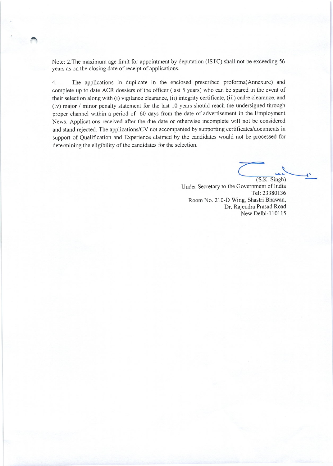Note: 2.The maximum age limit for appointment by deputation (ISTC) shall not be exceeding 56 years as on the closing date of receipt of applications.

4. The applications in duplicate in the enclosed prescribed proforma(Annexure) and complete up to date ACR dossiers of the officer (last 5 years) who can be spared in the event of their selection along with (i) vigilance clearance, (ii) integrity certificate, (iii) cadre clearance, and (iv) major / minor penalty statement for the last 10 years should reach the undersigned through proper channel within a period of 60 days ffom the date of advertisement in the Employment News. Applications received after the due date or otherwise incomplete will not be considered and stand rejected. The applications/CV not accompanied by supporting certificates/documents in support of Qualification and Experience claimed by the candidates would not be processed for determining the eligibility of the candidates for the selection.

(S.K. Singh) Under Secretary to the Government of lndia Tel:23380136 Room No. 210-D Wing, Shastri Bhawan, Dr. Rajendra Prasad Road New Delhi-1 10115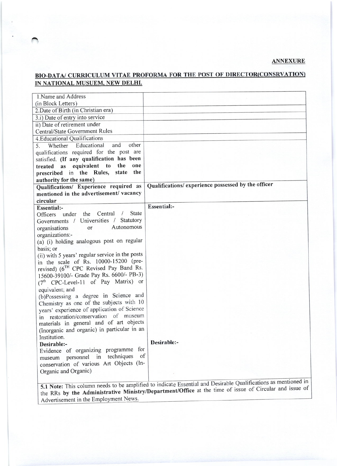ANNEXURE

# BIO-DATA/ CURRICULUM VITAE PROFORMA FOR THE POST OF DIRECTOR(CONSRVATION) IN NATIONAL MUSUEM, NEW DELHI.

| Qualifications/experience possessed by the officer |
|----------------------------------------------------|
|                                                    |
|                                                    |
| Essential:-                                        |
|                                                    |
|                                                    |
|                                                    |
|                                                    |
|                                                    |
|                                                    |
|                                                    |
|                                                    |
|                                                    |
|                                                    |
|                                                    |
|                                                    |
|                                                    |
|                                                    |
|                                                    |
|                                                    |
|                                                    |
|                                                    |
| Desirable:-                                        |
|                                                    |
|                                                    |
|                                                    |
|                                                    |
|                                                    |
|                                                    |

Advertisement in the Employment News the RRs by the Administrative Ministry/Department/Office at the time of iSsue of Circular and iSSuc Of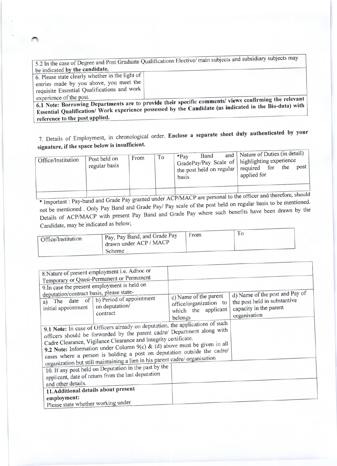|                                                 | 5.2 In the case of Degree and Post Graduate Qualifications Elective/ main subjects and subsidiary subjects may       |
|-------------------------------------------------|----------------------------------------------------------------------------------------------------------------------|
| be indicated by the candidate.                  |                                                                                                                      |
| 6. Please state clearly whether in the light of |                                                                                                                      |
| entries made by you above, you meet the         |                                                                                                                      |
| requisite Essential Qualifications and work     |                                                                                                                      |
| experience of the post.                         |                                                                                                                      |
|                                                 | $\pm$ 6.1 Note: Borrowing Departments are to provide their specific comments/views confirming the relevant           |
|                                                 | <sup>1</sup> Essential Qualification/ Work experience possessed by the Candidate (as indicated in the Bio-data) with |

reference to the post applied.

7. Details of Employment, in chronological order. Enclose a separate sheet duly authenticated by your signature, if the space below is insufficient.

| Office/Institution | Post held on<br>regular basis | From | To | <b>Band</b><br>$*$ Pay<br>basis | and   Nature of Duties (in detail)<br>GradePay/Pay Scale of   highlighting experience<br>$\frac{1}{2}$ the post held on regular   required for<br>applied for | the | post |
|--------------------|-------------------------------|------|----|---------------------------------|---------------------------------------------------------------------------------------------------------------------------------------------------------------|-----|------|
|                    |                               |      |    |                                 |                                                                                                                                                               |     |      |

\* Important : Pay-band and Grade Pay granted under ACP/MACP are personal to the officer and therefore, should not be mentioned. Only Pay Band and Grade Pay/ Pay scale of the post held on regular basis to be mentioned. Details of ACP/MACP with present Pay Band and Grade Pay where such benefits have been drawn by the Candidate, may be indicated as below;

| Office/Institution | $\Box$ Pay, Pay Band, and Grade Pay<br>drawn under ACP / MACP | From |  |
|--------------------|---------------------------------------------------------------|------|--|
|                    | Scheme                                                        |      |  |

| deputation/contract basis, please state-<br>initial appointment<br>and other details.<br>11. Additional details about present | 8. Nature of present employment i.e. Adhoc or<br>Temporary or Quasi-Permanent or Permanent<br>9. In case the present employment is held on<br>a) The date of $\overline{b}$ ) Period of appointment<br>on deputation/<br>contract<br>9.1 Note: In case of Officers already on deputation, the applications of such<br>officers should be forwarded by the parent cadre/ Department along with<br>Cadre Clearance, Vigilance Clearance and Integrity certificate.<br>9.2 Note: Information under Column 9(c) & (d) above must be given in all<br>cases where a person is holding a post on deputation outside the cadre/<br>organization but still maintaining a lien in his parent cadre/ organisation<br>10. If any post held on Deputation in the past by the<br>applicant, date of return from the last deputation | c) Name of the parent<br>office/organization to<br>which the applicant<br>belongs | d) Name of the post and Pay of<br>the post held in substantive<br>capacity in the parent<br>organisation |
|-------------------------------------------------------------------------------------------------------------------------------|-----------------------------------------------------------------------------------------------------------------------------------------------------------------------------------------------------------------------------------------------------------------------------------------------------------------------------------------------------------------------------------------------------------------------------------------------------------------------------------------------------------------------------------------------------------------------------------------------------------------------------------------------------------------------------------------------------------------------------------------------------------------------------------------------------------------------|-----------------------------------------------------------------------------------|----------------------------------------------------------------------------------------------------------|
| employment:<br>Please state whether working under                                                                             |                                                                                                                                                                                                                                                                                                                                                                                                                                                                                                                                                                                                                                                                                                                                                                                                                       |                                                                                   |                                                                                                          |